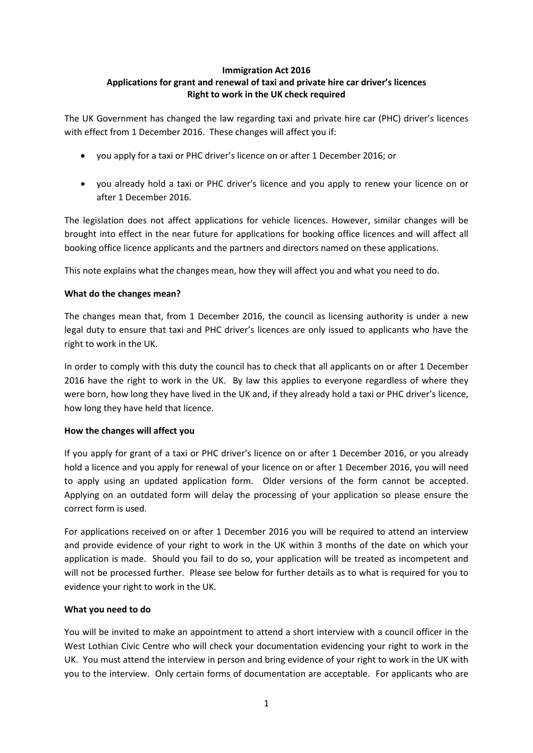### **Immigration Act 2016 Applications for grant and renewal of taxi and private hire car driver's licences Right to work in the UK check required**

The UK Government has changed the law regarding taxi and private hire car (PHC) driver's licences with effect from 1 December 2016. These changes will affect you if:

- you apply for a taxi or PHC driver's licence on or after 1 December 2016; or
- you already hold a taxi or PHC driver's licence and you apply to renew your licence on or after 1 December 2016.

The legislation does not affect applications for vehicle licences. However, similar changes will be brought into effect in the near future for applications for booking office licences and will affect all booking office licence applicants and the partners and directors named on these applications.

This note explains what the changes mean, how they will affect you and what you need to do.

## **What do the changes mean?**

The changes mean that, from 1 December 2016, the council as licensing authority is under a new legal duty to ensure that taxi and PHC driver's licences are only issued to applicants who have the right to work in the UK.

In order to comply with this duty the council has to check that all applicants on or after 1 December 2016 have the right to work in the UK. By law this applies to everyone regardless of where they were born, how long they have lived in the UK and, if they already hold a taxi or PHC driver's licence, how long they have held that licence.

## **How the changes will affect you**

If you apply for grant of a taxi or PHC driver's licence on or after 1 December 2016, or you already hold a licence and you apply for renewal of your licence on or after 1 December 2016, you will need to apply using an updated application form. Older versions of the form cannot be accepted. Applying on an outdated form will delay the processing of your application so please ensure the correct form is used.

For applications received on or after 1 December 2016 you will be required to attend an interview and provide evidence of your right to work in the UK within 3 months of the date on which your application is made. Should you fail to do so, your application will be treated as incompetent and will not be processed further. Please see below for further details as to what is required for you to evidence your right to work in the UK.

## **What you need to do**

You will be invited to make an appointment to attend a short interview with a council officer in the West Lothian Civic Centre who will check your documentation evidencing your right to work in the UK. You must attend the interview in person and bring evidence of your right to work in the UK with you to the interview. Only certain forms of documentation are acceptable. For applicants who are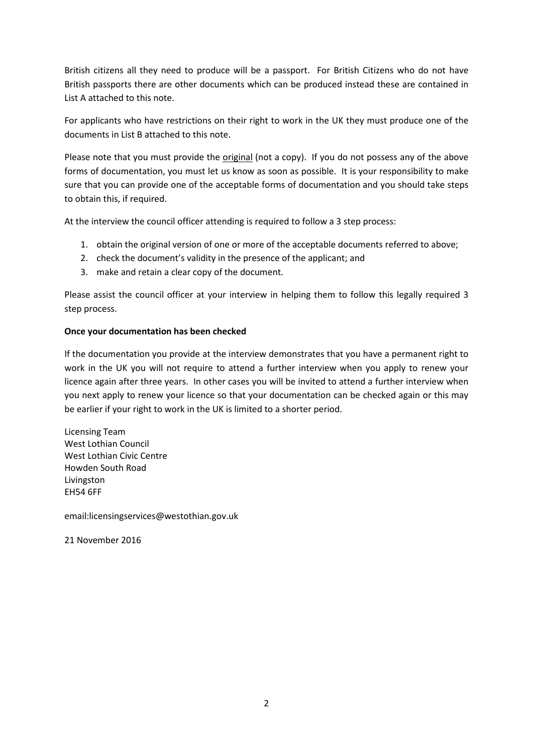British citizens all they need to produce will be a passport. For British Citizens who do not have British passports there are other documents which can be produced instead these are contained in List A attached to this note.

For applicants who have restrictions on their right to work in the UK they must produce one of the documents in List B attached to this note.

Please note that you must provide the original (not a copy). If you do not possess any of the above forms of documentation, you must let us know as soon as possible. It is your responsibility to make sure that you can provide one of the acceptable forms of documentation and you should take steps to obtain this, if required.

At the interview the council officer attending is required to follow a 3 step process:

- 1. obtain the original version of one or more of the acceptable documents referred to above;
- 2. check the document's validity in the presence of the applicant; and
- 3. make and retain a clear copy of the document.

Please assist the council officer at your interview in helping them to follow this legally required 3 step process.

### **Once your documentation has been checked**

If the documentation you provide at the interview demonstrates that you have a permanent right to work in the UK you will not require to attend a further interview when you apply to renew your licence again after three years. In other cases you will be invited to attend a further interview when you next apply to renew your licence so that your documentation can be checked again or this may be earlier if your right to work in the UK is limited to a shorter period.

Licensing Team West Lothian Council West Lothian Civic Centre Howden South Road Livingston EH54 6FF

email:licensingservices@westothian.gov.uk

21 November 2016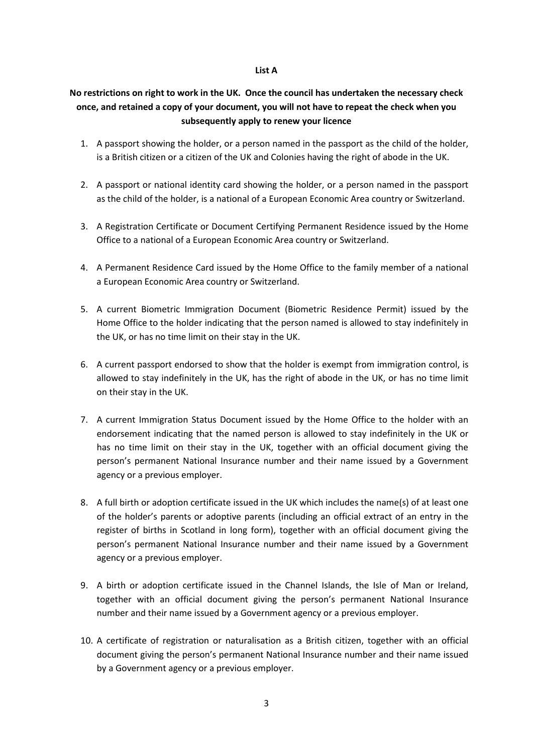### **List A**

# **No restrictions on right to work in the UK. Once the council has undertaken the necessary check once, and retained a copy of your document, you will not have to repeat the check when you subsequently apply to renew your licence**

- 1. A passport showing the holder, or a person named in the passport as the child of the holder, is a British citizen or a citizen of the UK and Colonies having the right of abode in the UK.
- 2. A passport or national identity card showing the holder, or a person named in the passport as the child of the holder, is a national of a European Economic Area country or Switzerland.
- 3. A Registration Certificate or Document Certifying Permanent Residence issued by the Home Office to a national of a European Economic Area country or Switzerland.
- 4. A Permanent Residence Card issued by the Home Office to the family member of a national a European Economic Area country or Switzerland.
- 5. A current Biometric Immigration Document (Biometric Residence Permit) issued by the Home Office to the holder indicating that the person named is allowed to stay indefinitely in the UK, or has no time limit on their stay in the UK.
- 6. A current passport endorsed to show that the holder is exempt from immigration control, is allowed to stay indefinitely in the UK, has the right of abode in the UK, or has no time limit on their stay in the UK.
- 7. A current Immigration Status Document issued by the Home Office to the holder with an endorsement indicating that the named person is allowed to stay indefinitely in the UK or has no time limit on their stay in the UK, together with an official document giving the person's permanent National Insurance number and their name issued by a Government agency or a previous employer.
- 8. A full birth or adoption certificate issued in the UK which includes the name(s) of at least one of the holder's parents or adoptive parents (including an official extract of an entry in the register of births in Scotland in long form), together with an official document giving the person's permanent National Insurance number and their name issued by a Government agency or a previous employer.
- 9. A birth or adoption certificate issued in the Channel Islands, the Isle of Man or Ireland, together with an official document giving the person's permanent National Insurance number and their name issued by a Government agency or a previous employer.
- 10. A certificate of registration or naturalisation as a British citizen, together with an official document giving the person's permanent National Insurance number and their name issued by a Government agency or a previous employer.